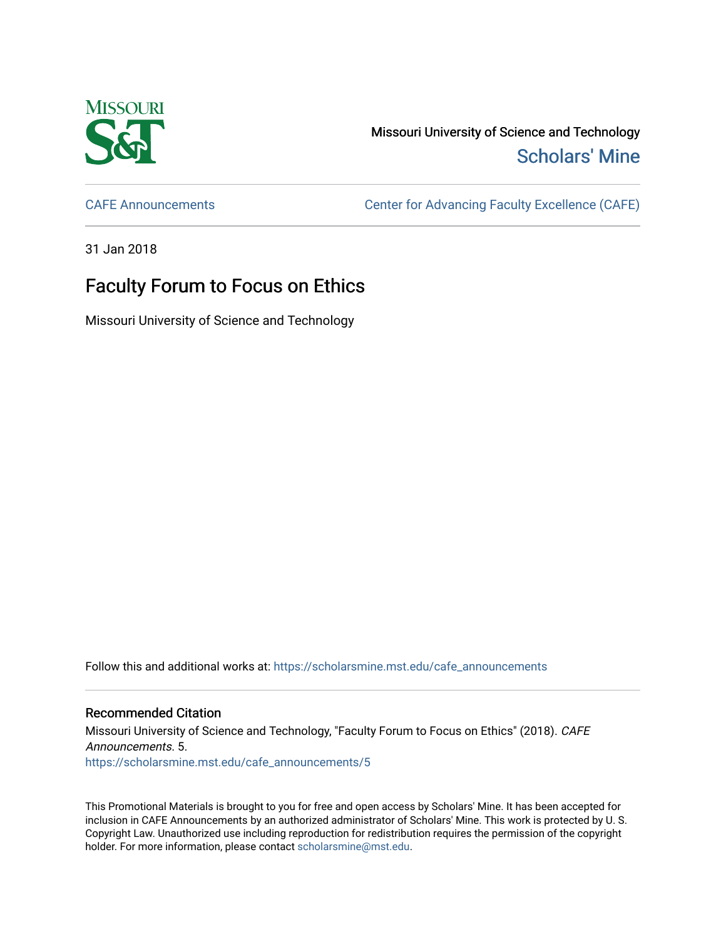

Missouri University of Science and Technology [Scholars' Mine](https://scholarsmine.mst.edu/) 

[CAFE Announcements](https://scholarsmine.mst.edu/cafe_announcements) [Center for Advancing Faculty Excellence \(CAFE\)](https://scholarsmine.mst.edu/cafe) 

31 Jan 2018

## Faculty Forum to Focus on Ethics

Missouri University of Science and Technology

Follow this and additional works at: [https://scholarsmine.mst.edu/cafe\\_announcements](https://scholarsmine.mst.edu/cafe_announcements?utm_source=scholarsmine.mst.edu%2Fcafe_announcements%2F5&utm_medium=PDF&utm_campaign=PDFCoverPages) 

## Recommended Citation

Missouri University of Science and Technology, "Faculty Forum to Focus on Ethics" (2018). CAFE Announcements. 5. [https://scholarsmine.mst.edu/cafe\\_announcements/5](https://scholarsmine.mst.edu/cafe_announcements/5?utm_source=scholarsmine.mst.edu%2Fcafe_announcements%2F5&utm_medium=PDF&utm_campaign=PDFCoverPages) 

This Promotional Materials is brought to you for free and open access by Scholars' Mine. It has been accepted for inclusion in CAFE Announcements by an authorized administrator of Scholars' Mine. This work is protected by U. S. Copyright Law. Unauthorized use including reproduction for redistribution requires the permission of the copyright holder. For more information, please contact [scholarsmine@mst.edu.](mailto:scholarsmine@mst.edu)